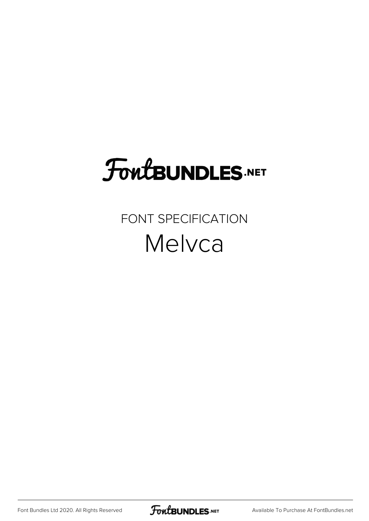# **FoutBUNDLES.NET**

#### FONT SPECIFICATION Melvca

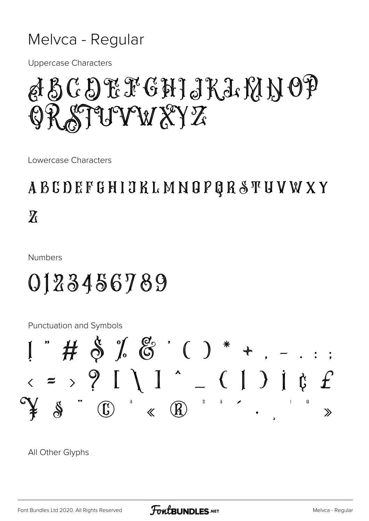#### Melvca - Regular

**Uppercase Characters** 

# BCDEFGHJKLMNOP STUVW XYZ

Lowercase Characters

### **ABCDEFGHIJKLMNOPQRSTUVWXY**  $\overline{\chi}$

**Numbers** 

## 0123456789

**Punctuation and Symbols** 



All Other Glyphs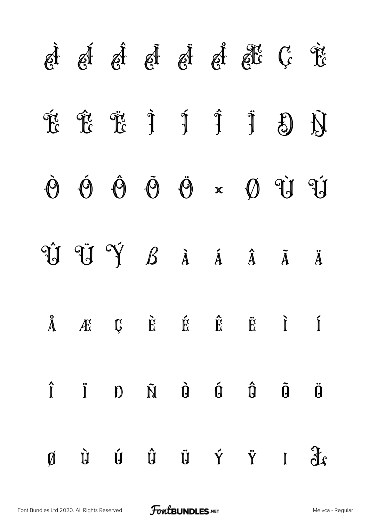|                         | d d d d d d d d d c                                                                                                                                                                                                                                                                                                                                                                                                                    |  |                                                                                                                                                |  |                                                          |                          |
|-------------------------|----------------------------------------------------------------------------------------------------------------------------------------------------------------------------------------------------------------------------------------------------------------------------------------------------------------------------------------------------------------------------------------------------------------------------------------|--|------------------------------------------------------------------------------------------------------------------------------------------------|--|----------------------------------------------------------|--------------------------|
|                         | F F F F F F F                                                                                                                                                                                                                                                                                                                                                                                                                          |  |                                                                                                                                                |  | $\begin{array}{ccc} \mathbb{S} & \mathbb{N} \end{array}$ |                          |
| $\dot{\mathbf{\Theta}}$ | $\mathbf{\hat{O}}$                                                                                                                                                                                                                                                                                                                                                                                                                     |  | $\hat{\Theta} \quad \tilde{\Theta} \quad \tilde{\Theta} \quad \times \quad \tilde{\Theta} \quad \tilde{\mathcal{U}} \quad \tilde{\mathcal{U}}$ |  |                                                          |                          |
|                         | Û Û Ý <i>B</i> à á â ã                                                                                                                                                                                                                                                                                                                                                                                                                 |  |                                                                                                                                                |  |                                                          | Ä                        |
|                         | $\ddot{A}$ $\ddot{B}$ $\ddot{B}$ $\ddot{B}$ $\ddot{C}$ $\ddot{C}$ $\ddot{D}$ $\ddot{C}$                                                                                                                                                                                                                                                                                                                                                |  |                                                                                                                                                |  |                                                          |                          |
|                         | $\hat{\mathbf{l}}\qquad \qquad \mathbf{i}\qquad \mathbf{D}\qquad \qquad \hat{\mathbf{N}}\qquad \qquad \hat{\mathbf{G}}\qquad \qquad \hat{\mathbf{G}}\qquad \qquad \tilde{\mathbf{G}}\qquad \qquad \tilde{\mathbf{l}}\qquad \qquad \mathbf{0}$                                                                                                                                                                                          |  |                                                                                                                                                |  |                                                          | $\ddot{\bm{\mathsf{Q}}}$ |
|                         | $\begin{array}{ccccccccccccccccc} \mathbf{M} & \mathbf{N} & \mathbf{N} & \mathbf{N} & \mathbf{N} & \mathbf{N} & \mathbf{N} & \mathbf{N} & \mathbf{N} & \mathbf{N} & \mathbf{N} & \mathbf{N} & \mathbf{N} & \mathbf{N} & \mathbf{N} & \mathbf{N} & \mathbf{N} & \mathbf{N} & \mathbf{N} & \mathbf{N} & \mathbf{N} & \mathbf{N} & \mathbf{N} & \mathbf{N} & \mathbf{N} & \mathbf{N} & \mathbf{N} & \mathbf{N} & \mathbf{N} & \mathbf{N}$ |  |                                                                                                                                                |  |                                                          |                          |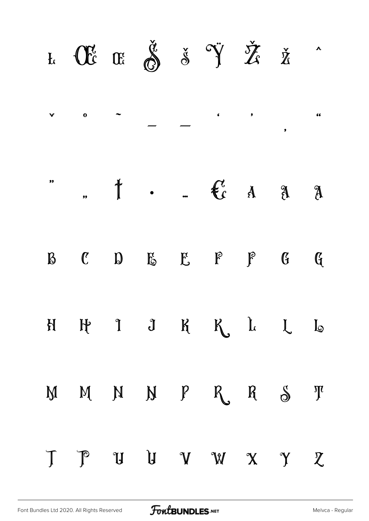